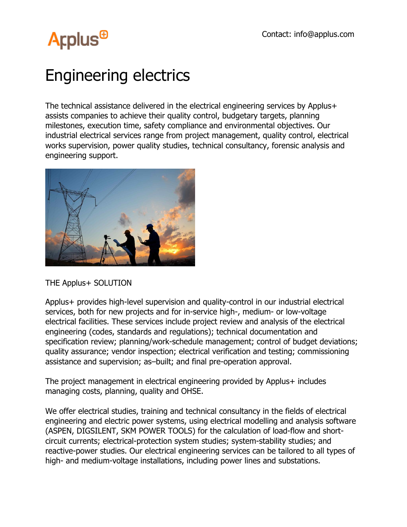## **Arplus<sup>®</sup>**

### Engineering electrics

The technical assistance delivered in the electrical engineering services by Applus+ assists companies to achieve their quality control, budgetary targets, planning milestones, execution time, safety compliance and environmental objectives. Our industrial electrical services range from project management, quality control, electrical works supervision, power quality studies, technical consultancy, forensic analysis and engineering support.



#### THE Applus+ SOLUTION

Applus+ provides high-level supervision and quality-control in our industrial electrical services, both for new projects and for in-service high-, medium- or low-voltage electrical facilities. These services include project review and analysis of the electrical engineering (codes, standards and regulations); technical documentation and specification review; planning/work-schedule management; control of budget deviations; quality assurance; vendor inspection; electrical verification and testing; commissioning assistance and supervision; as–built; and final pre-operation approval.

The project management in electrical engineering provided by Applus+ includes managing costs, planning, quality and OHSE.

We offer electrical studies, training and technical consultancy in the fields of electrical engineering and electric power systems, using electrical modelling and analysis software (ASPEN, DIGSILENT, SKM POWER TOOLS) for the calculation of load-flow and shortcircuit currents; electrical-protection system studies; system-stability studies; and reactive-power studies. Our electrical engineering services can be tailored to all types of high- and medium-voltage installations, including power lines and substations.